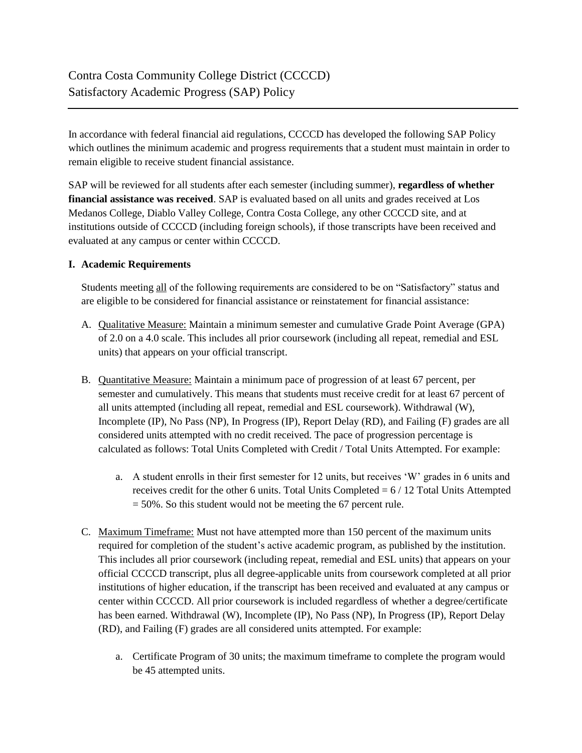In accordance with federal financial aid regulations, CCCCD has developed the following SAP Policy which outlines the minimum academic and progress requirements that a student must maintain in order to remain eligible to receive student financial assistance.

SAP will be reviewed for all students after each semester (including summer), **regardless of whether financial assistance was received**. SAP is evaluated based on all units and grades received at Los Medanos College, Diablo Valley College, Contra Costa College, any other CCCCD site, and at institutions outside of CCCCD (including foreign schools), if those transcripts have been received and evaluated at any campus or center within CCCCD.

# **I. Academic Requirements**

Students meeting all of the following requirements are considered to be on "Satisfactory" status and are eligible to be considered for financial assistance or reinstatement for financial assistance:

- A. Qualitative Measure: Maintain a minimum semester and cumulative Grade Point Average (GPA) of 2.0 on a 4.0 scale. This includes all prior coursework (including all repeat, remedial and ESL units) that appears on your official transcript.
- B. Quantitative Measure: Maintain a minimum pace of progression of at least 67 percent, per semester and cumulatively. This means that students must receive credit for at least 67 percent of all units attempted (including all repeat, remedial and ESL coursework). Withdrawal (W), Incomplete (IP), No Pass (NP), In Progress (IP), Report Delay (RD), and Failing (F) grades are all considered units attempted with no credit received. The pace of progression percentage is calculated as follows: Total Units Completed with Credit / Total Units Attempted. For example:
	- a. A student enrolls in their first semester for 12 units, but receives 'W' grades in 6 units and receives credit for the other 6 units. Total Units Completed = 6 / 12 Total Units Attempted  $= 50\%$ . So this student would not be meeting the 67 percent rule.
- C. Maximum Timeframe: Must not have attempted more than 150 percent of the maximum units required for completion of the student's active academic program, as published by the institution. This includes all prior coursework (including repeat, remedial and ESL units) that appears on your official CCCCD transcript, plus all degree-applicable units from coursework completed at all prior institutions of higher education, if the transcript has been received and evaluated at any campus or center within CCCCD. All prior coursework is included regardless of whether a degree/certificate has been earned. Withdrawal (W), Incomplete (IP), No Pass (NP), In Progress (IP), Report Delay (RD), and Failing (F) grades are all considered units attempted. For example:
	- a. Certificate Program of 30 units; the maximum timeframe to complete the program would be 45 attempted units.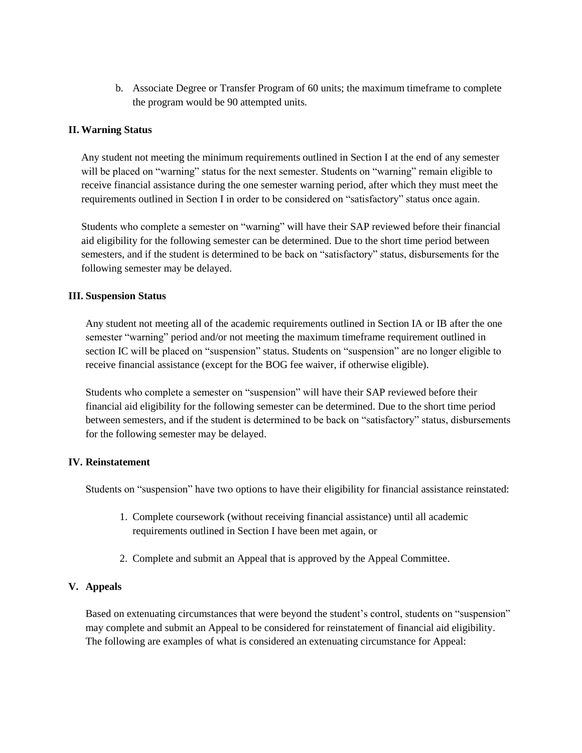b. Associate Degree or Transfer Program of 60 units; the maximum timeframe to complete the program would be 90 attempted units.

### **II. Warning Status**

Any student not meeting the minimum requirements outlined in Section I at the end of any semester will be placed on "warning" status for the next semester. Students on "warning" remain eligible to receive financial assistance during the one semester warning period, after which they must meet the requirements outlined in Section I in order to be considered on "satisfactory" status once again.

Students who complete a semester on "warning" will have their SAP reviewed before their financial aid eligibility for the following semester can be determined. Due to the short time period between semesters, and if the student is determined to be back on "satisfactory" status, disbursements for the following semester may be delayed.

### **III. Suspension Status**

Any student not meeting all of the academic requirements outlined in Section IA or IB after the one semester "warning" period and/or not meeting the maximum timeframe requirement outlined in section IC will be placed on "suspension" status. Students on "suspension" are no longer eligible to receive financial assistance (except for the BOG fee waiver, if otherwise eligible).

Students who complete a semester on "suspension" will have their SAP reviewed before their financial aid eligibility for the following semester can be determined. Due to the short time period between semesters, and if the student is determined to be back on "satisfactory" status, disbursements for the following semester may be delayed.

### **IV. Reinstatement**

Students on "suspension" have two options to have their eligibility for financial assistance reinstated:

- 1. Complete coursework (without receiving financial assistance) until all academic requirements outlined in Section I have been met again, or
- 2. Complete and submit an Appeal that is approved by the Appeal Committee.

# **V. Appeals**

Based on extenuating circumstances that were beyond the student's control, students on "suspension" may complete and submit an Appeal to be considered for reinstatement of financial aid eligibility. The following are examples of what is considered an extenuating circumstance for Appeal: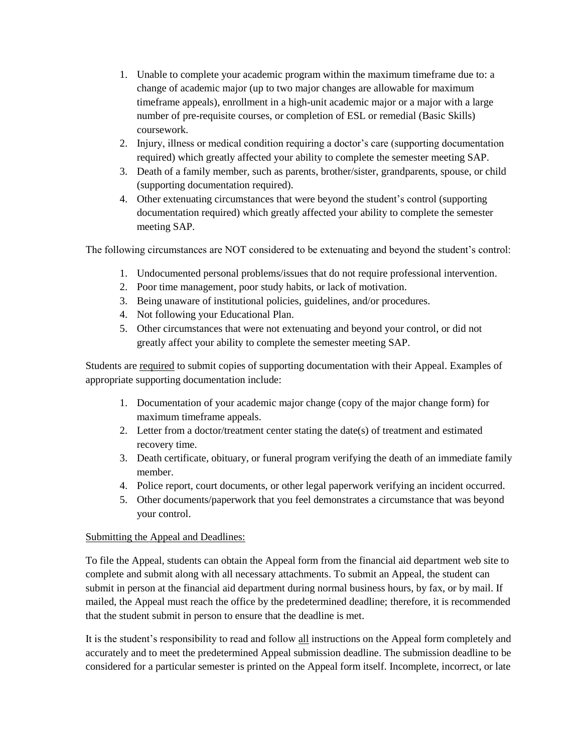- 1. Unable to complete your academic program within the maximum timeframe due to: a change of academic major (up to two major changes are allowable for maximum timeframe appeals), enrollment in a high-unit academic major or a major with a large number of pre-requisite courses, or completion of ESL or remedial (Basic Skills) coursework.
- 2. Injury, illness or medical condition requiring a doctor's care (supporting documentation required) which greatly affected your ability to complete the semester meeting SAP.
- 3. Death of a family member, such as parents, brother/sister, grandparents, spouse, or child (supporting documentation required).
- 4. Other extenuating circumstances that were beyond the student's control (supporting documentation required) which greatly affected your ability to complete the semester meeting SAP.

The following circumstances are NOT considered to be extenuating and beyond the student's control:

- 1. Undocumented personal problems/issues that do not require professional intervention.
- 2. Poor time management, poor study habits, or lack of motivation.
- 3. Being unaware of institutional policies, guidelines, and/or procedures.
- 4. Not following your Educational Plan.
- 5. Other circumstances that were not extenuating and beyond your control, or did not greatly affect your ability to complete the semester meeting SAP.

Students are required to submit copies of supporting documentation with their Appeal. Examples of appropriate supporting documentation include:

- 1. Documentation of your academic major change (copy of the major change form) for maximum timeframe appeals.
- 2. Letter from a doctor/treatment center stating the date(s) of treatment and estimated recovery time.
- 3. Death certificate, obituary, or funeral program verifying the death of an immediate family member.
- 4. Police report, court documents, or other legal paperwork verifying an incident occurred.
- 5. Other documents/paperwork that you feel demonstrates a circumstance that was beyond your control.

### Submitting the Appeal and Deadlines:

To file the Appeal, students can obtain the Appeal form from the financial aid department web site to complete and submit along with all necessary attachments. To submit an Appeal, the student can submit in person at the financial aid department during normal business hours, by fax, or by mail. If mailed, the Appeal must reach the office by the predetermined deadline; therefore, it is recommended that the student submit in person to ensure that the deadline is met.

It is the student's responsibility to read and follow all instructions on the Appeal form completely and accurately and to meet the predetermined Appeal submission deadline. The submission deadline to be considered for a particular semester is printed on the Appeal form itself. Incomplete, incorrect, or late